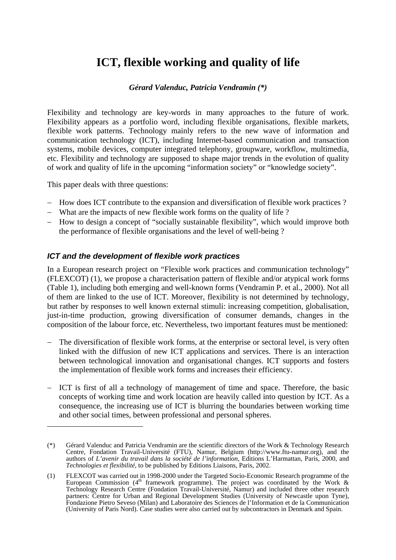# **ICT, flexible working and quality of life**

## *Gérard Valenduc, Patricia Vendramin (\*)*

Flexibility and technology are key-words in many approaches to the future of work. Flexibility appears as a portfolio word, including flexible organisations, flexible markets, flexible work patterns. Technology mainly refers to the new wave of information and communication technology (ICT), including Internet-based communication and transaction systems, mobile devices, computer integrated telephony, groupware, workflow, multimedia, etc. Flexibility and technology are supposed to shape major trends in the evolution of quality of work and quality of life in the upcoming "information society" or "knowledge society".

This paper deals with three questions:

 $\overline{a}$ 

- − How does ICT contribute to the expansion and diversification of flexible work practices ?
- − What are the impacts of new flexible work forms on the quality of life ?
- − How to design a concept of "socially sustainable flexibility", which would improve both the performance of flexible organisations and the level of well-being ?

## *ICT and the development of flexible work practices*

In a European research project on "Flexible work practices and communication technology" (FLEXCOT) (1), we propose a characterisation pattern of flexible and/or atypical work forms (Table 1), including both emerging and well-known forms (Vendramin P. et al., 2000). Not all of them are linked to the use of ICT. Moreover, flexibility is not determined by technology, but rather by responses to well known external stimuli: increasing competition, globalisation, just-in-time production, growing diversification of consumer demands, changes in the composition of the labour force, etc. Nevertheless, two important features must be mentioned:

- The diversification of flexible work forms, at the enterprise or sectoral level, is very often linked with the diffusion of new ICT applications and services. There is an interaction between technological innovation and organisational changes. ICT supports and fosters the implementation of flexible work forms and increases their efficiency.
- ICT is first of all a technology of management of time and space. Therefore, the basic concepts of working time and work location are heavily called into question by ICT. As a consequence, the increasing use of ICT is blurring the boundaries between working time and other social times, between professional and personal spheres.

<sup>(\*)</sup> Gérard Valenduc and Patricia Vendramin are the scientific directors of the Work & Technology Research Centre, Fondation Travail-Université (FTU), Namur, Belgium (http://www.ftu-namur.org), and the authors of *L'avenir du travail dans la société de l'information*, Editions L'Harmattan, Paris, 2000, and *Technologies et flexibilité*, to be published by Editions Liaisons, Paris, 2002.

<sup>(1)</sup> FLEXCOT was carried out in 1998-2000 under the Targeted Socio-Economic Research programme of the European Commission ( $4<sup>th</sup>$  framework programme). The project was coordinated by the Work & Technology Research Centre (Fondation Travail-Université, Namur) and included three other research partners: Centre for Urban and Regional Development Studies (University of Newcastle upon Tyne), Fondazione Pietro Seveso (Milan) and Laboratoire des Sciences de l'Information et de la Communication (University of Paris Nord). Case studies were also carried out by subcontractors in Denmark and Spain.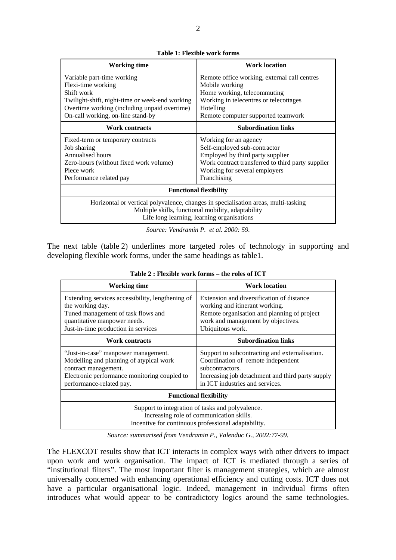| I           |
|-------------|
| ٠<br>I<br>I |
| ٠           |
|             |

| Working time                                                                                                                                                                           | <b>Work location</b>                              |  |  |  |
|----------------------------------------------------------------------------------------------------------------------------------------------------------------------------------------|---------------------------------------------------|--|--|--|
| Variable part-time working                                                                                                                                                             | Remote office working, external call centres      |  |  |  |
| Flexi-time working                                                                                                                                                                     | Mobile working                                    |  |  |  |
| Shift work                                                                                                                                                                             | Home working, telecommuting                       |  |  |  |
| Twilight-shift, night-time or week-end working                                                                                                                                         | Working in telecentres or telecottages            |  |  |  |
| Overtime working (including unpaid overtime)                                                                                                                                           | Hotelling                                         |  |  |  |
| On-call working, on-line stand-by                                                                                                                                                      | Remote computer supported teamwork                |  |  |  |
| <b>Work contracts</b>                                                                                                                                                                  | <b>Subordination links</b>                        |  |  |  |
| Fixed-term or temporary contracts                                                                                                                                                      | Working for an agency                             |  |  |  |
| Job sharing                                                                                                                                                                            | Self-employed sub-contractor                      |  |  |  |
| Annualised hours                                                                                                                                                                       | Employed by third party supplier                  |  |  |  |
| Zero-hours (without fixed work volume)                                                                                                                                                 | Work contract transferred to third party supplier |  |  |  |
| Piece work                                                                                                                                                                             | Working for several employers                     |  |  |  |
| Performance related pay                                                                                                                                                                | Franchising                                       |  |  |  |
| <b>Functional flexibility</b>                                                                                                                                                          |                                                   |  |  |  |
| Horizontal or vertical polyvalence, changes in specialisation areas, multi-tasking<br>Multiple skills, functional mobility, adaptability<br>Life long learning, learning organisations |                                                   |  |  |  |

*Source: Vendramin P. et al. 2000: 59.* 

The next table (table 2) underlines more targeted roles of technology in supporting and developing flexible work forms, under the same headings as table1.

| Working time                                                                                                                                           | <b>Work location</b>                                                                                                                                        |  |  |
|--------------------------------------------------------------------------------------------------------------------------------------------------------|-------------------------------------------------------------------------------------------------------------------------------------------------------------|--|--|
| Extending services accessibility, lengthening of                                                                                                       | Extension and diversification of distance                                                                                                                   |  |  |
| the working day.<br>Tuned management of task flows and                                                                                                 | working and itinerant working.<br>Remote organisation and planning of project                                                                               |  |  |
| quantitative manpower needs.                                                                                                                           | work and management by objectives.                                                                                                                          |  |  |
| Just-in-time production in services                                                                                                                    | Ubiquitous work.                                                                                                                                            |  |  |
| <b>Work contracts</b>                                                                                                                                  | <b>Subordination links</b>                                                                                                                                  |  |  |
| "Just-in-case" manpower management.<br>Modelling and planning of atypical work<br>contract management.<br>Electronic performance monitoring coupled to | Support to subcontracting and externalisation.<br>Coordination of remote independent<br>subcontractors.<br>Increasing job detachment and third party supply |  |  |
| performance-related pay.                                                                                                                               | in ICT industries and services.                                                                                                                             |  |  |
| <b>Functional flexibility</b>                                                                                                                          |                                                                                                                                                             |  |  |
| Support to integration of tasks and polyvalence.<br>Increasing role of communication skills.<br>Incentive for continuous professional adaptability.    |                                                                                                                                                             |  |  |

**Table 2 : Flexible work forms – the roles of ICT** 

*Source: summarised from Vendramin P., Valenduc G., 2002:77-99.* 

The FLEXCOT results show that ICT interacts in complex ways with other drivers to impact upon work and work organisation. The impact of ICT is mediated through a series of "institutional filters". The most important filter is management strategies, which are almost universally concerned with enhancing operational efficiency and cutting costs. ICT does not have a particular organisational logic. Indeed, management in individual firms often introduces what would appear to be contradictory logics around the same technologies.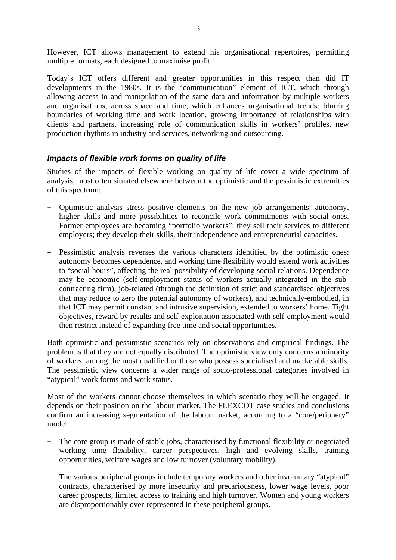However, ICT allows management to extend his organisational repertoires, permitting multiple formats, each designed to maximise profit.

Today's ICT offers different and greater opportunities in this respect than did IT developments in the 1980s. It is the "communication" element of ICT, which through allowing access to and manipulation of the same data and information by multiple workers and organisations, across space and time, which enhances organisational trends: blurring boundaries of working time and work location, growing importance of relationships with clients and partners, increasing role of communication skills in workers' profiles, new production rhythms in industry and services, networking and outsourcing.

#### *Impacts of flexible work forms on quality of life*

Studies of the impacts of flexible working on quality of life cover a wide spectrum of analysis, most often situated elsewhere between the optimistic and the pessimistic extremities of this spectrum:

- Optimistic analysis stress positive elements on the new job arrangements: autonomy, higher skills and more possibilities to reconcile work commitments with social ones. Former employees are becoming "portfolio workers": they sell their services to different employers; they develop their skills, their independence and entrepreneurial capacities.
- Pessimistic analysis reverses the various characters identified by the optimistic ones: autonomy becomes dependence, and working time flexibility would extend work activities to "social hours", affecting the real possibility of developing social relations. Dependence may be economic (self-employment status of workers actually integrated in the subcontracting firm), job-related (through the definition of strict and standardised objectives that may reduce to zero the potential autonomy of workers), and technically-embodied, in that ICT may permit constant and intrusive supervision, extended to workers' home. Tight objectives, reward by results and self-exploitation associated with self-employment would then restrict instead of expanding free time and social opportunities.

Both optimistic and pessimistic scenarios rely on observations and empirical findings. The problem is that they are not equally distributed. The optimistic view only concerns a minority of workers, among the most qualified or those who possess specialised and marketable skills. The pessimistic view concerns a wider range of socio-professional categories involved in "atypical" work forms and work status.

Most of the workers cannot choose themselves in which scenario they will be engaged. It depends on their position on the labour market. The FLEXCOT case studies and conclusions confirm an increasing segmentation of the labour market, according to a "core/periphery" model:

- The core group is made of stable jobs, characterised by functional flexibility or negotiated working time flexibility, career perspectives, high and evolving skills, training opportunities, welfare wages and low turnover (voluntary mobility).
- The various peripheral groups include temporary workers and other involuntary "atypical" contracts, characterised by more insecurity and precariousness, lower wage levels, poor career prospects, limited access to training and high turnover. Women and young workers are disproportionably over-represented in these peripheral groups.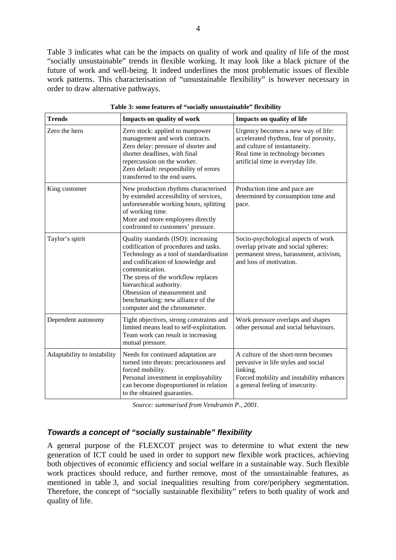Table 3 indicates what can be the impacts on quality of work and quality of life of the most "socially unsustainable" trends in flexible working. It may look like a black picture of the future of work and well-being. It indeed underlines the most problematic issues of flexible work patterns. This characterisation of "unsustainable flexibility" is however necessary in order to draw alternative pathways.

| <b>Trends</b>               | Impacts on quality of work                                                                                                                                                                                                                                                                                                                             | Impacts on quality of life                                                                                                                                                            |
|-----------------------------|--------------------------------------------------------------------------------------------------------------------------------------------------------------------------------------------------------------------------------------------------------------------------------------------------------------------------------------------------------|---------------------------------------------------------------------------------------------------------------------------------------------------------------------------------------|
| Zero the hero               | Zero stock: applied to manpower<br>management and work contracts.<br>Zero delay: pressure of shorter and<br>shorter deadlines, with final<br>repercussion on the worker.<br>Zero default: responsibility of errors<br>transferred to the end users.                                                                                                    | Urgency becomes a new way of life:<br>accelerated rhythms, fear of porosity,<br>and culture of instantaneity.<br>Real time in technology becomes<br>artificial time in everyday life. |
| King customer               | New production rhythms characterised<br>by extended accessibility of services,<br>unforeseeable working hours, splitting<br>of working time.<br>More and more employees directly<br>confronted to customers' pressure.                                                                                                                                 | Production time and pace are<br>determined by consumption time and<br>pace.                                                                                                           |
| Taylor's spirit             | Quality standards (ISO): increasing<br>codification of procedures and tasks.<br>Technology as a tool of standardisation<br>and codification of knowledge and<br>communication.<br>The stress of the workflow replaces<br>hierarchical authority.<br>Obsession of measurement and<br>benchmarking: new alliance of the<br>computer and the chronometer. | Socio-psychological aspects of work<br>overlap private and social spheres:<br>permanent stress, harassment, activism,<br>and loss of motivation.                                      |
| Dependent autonomy          | Tight objectives, strong constraints and<br>limited means lead to self-exploitation.<br>Team work can result in increasing<br>mutual pressure.                                                                                                                                                                                                         | Work pressure overlaps and shapes<br>other personal and social behaviours.                                                                                                            |
| Adaptability to instability | Needs for continued adaptation are<br>turned into threats: precariousness and<br>forced mobility.<br>Personal investment in employability<br>can become disproportioned in relation<br>to the obtained guaranties.                                                                                                                                     | A culture of the short-term becomes<br>pervasive in life styles and social<br>linking.<br>Forced mobility and instability enhances<br>a general feeling of insecurity.                |

**Table 3: some features of "socially unsustainable" flexibility** 

*Source: summarised from Vendramin P., 2001.* 

### *Towards a concept of "socially sustainable" flexibility*

A general purpose of the FLEXCOT project was to determine to what extent the new generation of ICT could be used in order to support new flexible work practices, achieving both objectives of economic efficiency and social welfare in a sustainable way. Such flexible work practices should reduce, and further remove, most of the unsustainable features, as mentioned in table 3, and social inequalities resulting from core/periphery segmentation. Therefore, the concept of "socially sustainable flexibility" refers to both quality of work and quality of life.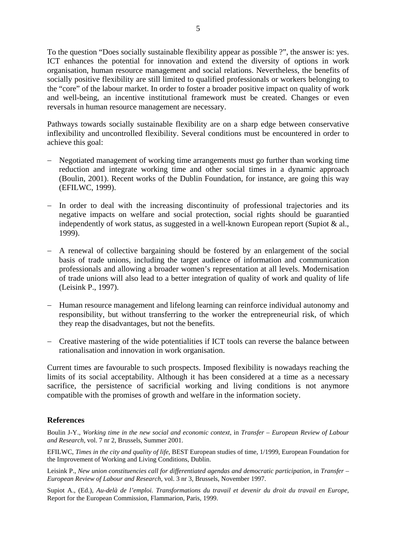To the question "Does socially sustainable flexibility appear as possible ?", the answer is: yes. ICT enhances the potential for innovation and extend the diversity of options in work organisation, human resource management and social relations. Nevertheless, the benefits of socially positive flexibility are still limited to qualified professionals or workers belonging to the "core" of the labour market. In order to foster a broader positive impact on quality of work and well-being, an incentive institutional framework must be created. Changes or even reversals in human resource management are necessary.

Pathways towards socially sustainable flexibility are on a sharp edge between conservative inflexibility and uncontrolled flexibility. Several conditions must be encountered in order to achieve this goal:

- − Negotiated management of working time arrangements must go further than working time reduction and integrate working time and other social times in a dynamic approach (Boulin, 2001). Recent works of the Dublin Foundation, for instance, are going this way (EFILWC, 1999).
- − In order to deal with the increasing discontinuity of professional trajectories and its negative impacts on welfare and social protection, social rights should be guarantied independently of work status, as suggested in a well-known European report (Supiot & al., 1999).
- − A renewal of collective bargaining should be fostered by an enlargement of the social basis of trade unions, including the target audience of information and communication professionals and allowing a broader women's representation at all levels. Modernisation of trade unions will also lead to a better integration of quality of work and quality of life (Leisink P., 1997).
- − Human resource management and lifelong learning can reinforce individual autonomy and responsibility, but without transferring to the worker the entrepreneurial risk, of which they reap the disadvantages, but not the benefits.
- − Creative mastering of the wide potentialities if ICT tools can reverse the balance between rationalisation and innovation in work organisation.

Current times are favourable to such prospects. Imposed flexibility is nowadays reaching the limits of its social acceptability. Although it has been considered at a time as a necessary sacrifice, the persistence of sacrificial working and living conditions is not anymore compatible with the promises of growth and welfare in the information society.

#### **References**

Boulin J-Y., *Working time in the new social and economic context*, in *Transfer – European Review of Labour and Research*, vol. 7 nr 2, Brussels, Summer 2001.

EFILWC, *Times in the city and quality of life*, BEST European studies of time, 1/1999, European Foundation for the Improvement of Working and Living Conditions, Dublin.

Leisink P., *New union constituencies call for differentiated agendas and democratic participation*, in *Transfer – European Review of Labour and Research*, vol. 3 nr 3, Brussels, November 1997.

Supiot A., (Ed.), *Au-delà de l'emploi. Transformations du travail et devenir du droit du travail en Europe*, Report for the European Commission, Flammarion, Paris, 1999.